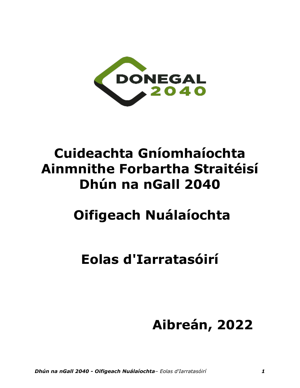

# **Cuideachta Gníomhaíochta Ainmnithe Forbartha Straitéisí Dhún na nGall 2040**

# **Oifigeach Nuálaíochta**

# **Eolas d'Iarratasóirí**

# **Aibreán, 2022**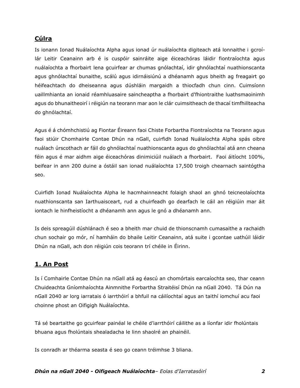# **Cúlra**

Is ionann Ionad Nuálaíochta Alpha agus ionad úr nuálaíochta digiteach atá lonnaithe i gcroílár Leitir Ceanainn arb é is cuspóir sainráite aige éiceachóras láidir fiontraíochta agus nuálaíochta a fhorbairt lena gcuirfear ar chumas gnólachtaí, idir ghnólachtaí nuathionscanta agus ghnólachtaí bunaithe, scálú agus idirnáisiúnú a dhéanamh agus bheith ag freagairt go héifeachtach do dheiseanna agus dúshláin margaidh a thiocfadh chun cinn. Cuimsíonn uaillmhianta an ionaid réamhluasaire saincheaptha a fhorbairt d'fhiontraithe luathsmaoinimh agus do bhunaitheoirí i réigiún na teorann mar aon le clár cuimsitheach de thacaí timfhillteacha do ghnólachtaí.

Agus é á chómhchistiú ag Fiontar Éireann faoi Chiste Forbartha Fiontraíochta na Teorann agus faoi stiúir Chomhairle Contae Dhún na nGall, cuirfidh Ionad Nuálaíochta Alpha spás oibre nuálach úrscothach ar fáil do ghnólachtaí nuathionscanta agus do ghnólachtaí atá ann cheana féin agus é mar aidhm aige éiceachóras dinimiciúil nuálach a fhorbairt. Faoi áitíocht 100%, beifear in ann 200 duine a óstáil san ionad nuálaíochta 17,500 troigh chearnach saintógtha seo.

Cuirfidh Ionad Nuálaíochta Alpha le hacmhainneacht folaigh shaol an ghnó teicneolaíochta nuathionscanta san Iarthuaisceart, rud a chuirfeadh go dearfach le cáil an réigiúin mar áit iontach le hinfheistíocht a dhéanamh ann agus le gnó a dhéanamh ann.

Is deis spreagúil dúshlánach é seo a bheith mar chuid de thionscnamh cumasaithe a rachaidh chun sochair go mór, ní hamháin do bhaile Leitir Ceanainn, atá suite i gcontae uathúil láidir Dhún na nGall, ach don réigiún cois teorann trí chéile in Éirinn.

# **1. An Post**

Is í Comhairle Contae Dhún na nGall atá ag éascú an chomórtais earcaíochta seo, thar ceann Chuideachta Gníomhaíochta Ainmnithe Forbartha Straitéisí Dhún na nGall 2040. Tá Dún na nGall 2040 ar lorg iarratais ó iarrthóirí a bhfuil na cáilíochtaí agus an taithí iomchuí acu faoi choinne phost an Oifigigh Nuálaíochta.

Tá sé beartaithe go gcuirfear painéal le chéile d'iarrthóirí cáilithe as a líonfar idir fholúntais bhuana agus fholúntais shealadacha le linn shaolré an phainéil.

Is conradh ar théarma seasta é seo go ceann tréimhse 3 bliana.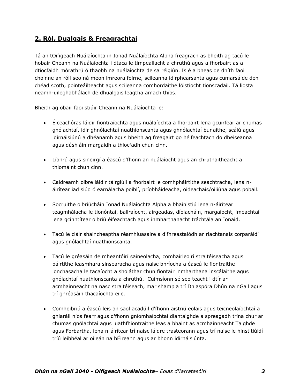# **2. Ról, Dualgais & Freagrachtaí**

Tá an tOifigeach Nuálaíochta in Ionad Nuálaíochta Alpha freagrach as bheith ag tacú le hobair Cheann na Nuálaíochta i dtaca le timpeallacht a chruthú agus a fhorbairt as a dtiocfaidh mórathrú ó thaobh na nuálaíochta de sa réigiún. Is é a bheas de dhíth faoi choinne an róil seo ná meon imreora foirne, scileanna idirphearsanta agus cumarsáide den chéad scoth, pointeáilteacht agus scileanna comhordaithe lóistíocht tionscadail. Tá liosta neamh-uileghabhálach de dhualgais leagtha amach thíos.

Bheith ag obair faoi stiúir Cheann na Nuálaíochta le:

- Éiceachóras láidir fiontraíochta agus nuálaíochta a fhorbairt lena gcuirfear ar chumas gnólachtaí, idir ghnólachtaí nuathionscanta agus ghnólachtaí bunaithe, scálú agus idirnáisiúnú a dhéanamh agus bheith ag freagairt go héifeachtach do dheiseanna agus dúshláin margaidh a thiocfadh chun cinn.
- Líonrú agus sineirgí a éascú d'fhonn an nuálaíocht agus an chruthaitheacht a thiomáint chun cinn.
- Caidreamh oibre láidir táirgiúil a fhorbairt le comhpháirtithe seachtracha, lena náirítear iad siúd ó earnálacha poiblí, príobháideacha, oideachais/oiliúna agus pobail.
- Socruithe oibriúcháin Ionad Nuálaíochta Alpha a bhainistiú lena n-áirítear teagmhálacha le tionóntaí, ballraíocht, airgeadas, díolacháin, margaíocht, imeachtaí lena gcinntítear oibriú éifeachtach agus inmharthanacht tráchtála an Ionaid.
- Tacú le cláir shaincheaptha réamhluasaire a d'fhreastalódh ar riachtanais corparáidí agus gnólachtaí nuathionscanta.
- Tacú le gréasáin de mheantóirí saineolacha, comhairleoirí straitéiseacha agus páirtithe leasmhara sinsearacha agus naisc bhríocha a éascú le fiontraithe ionchasacha le tacaíocht a sholáthar chun fiontair inmharthana inscálaithe agus gnólachtaí nuathionscanta a chruthú. Cuimsíonn sé seo teacht i dtír ar acmhainneacht na nasc straitéiseach, mar shampla trí Dhiaspóra Dhún na nGall agus trí ghréasáin thacaíochta eile.
- Comhoibriú a éascú leis an saol acadúil d'fhonn aistriú eolais agus teicneolaíochtaí a ghiaráil níos fearr agus d'fhonn gníomhaíochtaí diantaighde a spreagadh trína chur ar chumas gnólachtaí agus luathfhiontraithe leas a bhaint as acmhainneacht Taighde agus Forbartha, lena n-áirítear trí naisc láidre trasteorann agus trí naisc le hinstitiúidí tríú leibhéal ar oileán na hÉireann agus ar bhonn idirnáisiúnta.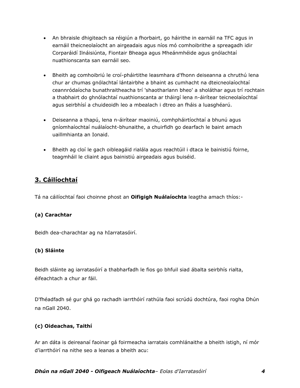- An bhraisle dhigiteach sa réigiún a fhorbairt, go háirithe in earnáil na TFC agus in earnáil theicneolaíocht an airgeadais agus níos mó comhoibrithe a spreagadh idir Corparáidí Ilnáisiúnta, Fiontair Bheaga agus Mheánmhéide agus gnólachtaí nuathionscanta san earnáil seo.
- Bheith ag comhoibriú le croí-pháirtithe leasmhara d'fhonn deiseanna a chruthú lena chur ar chumas gnólachtaí lántairbhe a bhaint as cumhacht na dteicneolaíochtaí ceannródaíocha bunathraitheacha trí 'shaotharlann bheo' a sholáthar agus trí rochtain a thabhairt do ghnólachtaí nuathionscanta ar tháirgí lena n-áirítear teicneolaíochtaí agus seirbhísí a chuideoidh leo a mbealach i dtreo an fháis a luasghéarú.
- Deiseanna a thapú, lena n-áirítear maoiniú, comhpháirtíochtaí a bhunú agus gníomhaíochtaí nuálaíocht-bhunaithe, a chuirfidh go dearfach le baint amach uaillmhianta an Ionaid.
- Bheith ag cloí le gach oibleagáid rialála agus reachtúil i dtaca le bainistiú foirne, teagmháil le cliaint agus bainistiú airgeadais agus buiséid.

# **3. Cáilíochtaí**

Tá na cáilíochtaí faoi choinne phost an **Oifigigh Nuálaíochta** leagtha amach thíos:-

# **(a) Carachtar**

Beidh dea-charachtar ag na hIarratasóirí.

# **(b) Sláinte**

Beidh sláinte ag iarratasóirí a thabharfadh le fios go bhfuil siad ábalta seirbhís rialta, éifeachtach a chur ar fáil.

D'fhéadfadh sé gur ghá go rachadh iarrthóirí rathúla faoi scrúdú dochtúra, faoi rogha Dhún na nGall 2040.

# **(c) Oideachas, Taithí**

Ar an dáta is deireanaí faoinar gá foirmeacha iarratais comhlánaithe a bheith istigh, ní mór d'iarrthóirí na nithe seo a leanas a bheith acu: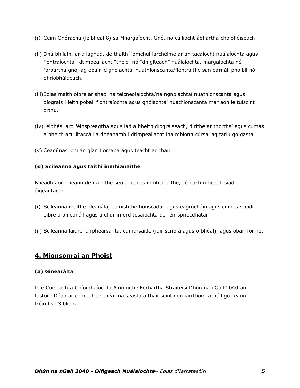- (i) Céim Onóracha (leibhéal 8) sa Mhargaíocht, Gnó, nó cáilíocht ábhartha choibhéiseach.
- (ii) Dhá bhliain, ar a laghad, de thaithí iomchuí iarchéime ar an tacaíocht nuálaíochta agus fiontraíochta i dtimpeallacht "theic" nó "dhigiteach" nuálaíochta, margaíochta nó forbartha gnó, ag obair le gnólachtaí nuathionscanta/fiontraithe san earnáil phoiblí nó phríobháideach.
- (iii)Eolas maith oibre ar shaol na teicneolaíochta/na ngnólachtaí nuathionscanta agus díograis i leith pobail fiontraíochta agus gnólachtaí nuathionscanta mar aon le tuiscint orthu.
- (iv)Leibhéal ard féinspreagtha agus iad a bheith díograiseach, dírithe ar thorthaí agus cumas a bheith acu iltascáil a dhéanamh i dtimpeallacht ina mbíonn cúrsaí ag tarlú go gasta.
- (v) Ceadúnas iomlán glan tiomána agus teacht ar charr.

## **(d) Scileanna agus taithí inmhianaithe**

Bheadh aon cheann de na nithe seo a leanas inmhianaithe, cé nach mbeadh siad éigeantach:

- (i) Scileanna maithe pleanála, bainistithe tionscadail agus eagrúcháin agus cumas sceidil oibre a phleanáil agus a chur in ord tosaíochta de réir spriocdhátaí.
- (ii) Scileanna láidre idirphearsanta, cumarsáide (idir scríofa agus ó bhéal), agus obair foirne.

# **4. Mionsonraí an Phoist**

#### **(a) Ginearálta**

Is é Cuideachta Gníomhaíochta Ainmnithe Forbartha Straitéisí Dhún na nGall 2040 an fostóir. Déanfar conradh ar théarma seasta a thairiscint don iarrthóir rathúil go ceann tréimhse 3 bliana.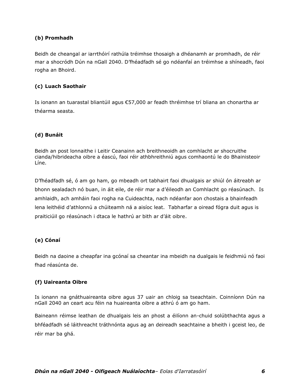# **(b) Promhadh**

Beidh de cheangal ar iarrthóirí rathúla tréimhse thosaigh a dhéanamh ar promhadh, de réir mar a shocródh Dún na nGall 2040. D'fhéadfadh sé go ndéanfaí an tréimhse a shíneadh, faoi rogha an Bhoird.

## **(c) Luach Saothair**

Is ionann an tuarastal bliantúil agus €57,000 ar feadh thréimhse trí bliana an chonartha ar théarma seasta.

# **(d) Bunáit**

Beidh an post lonnaithe i Leitir Ceanainn ach breithneoidh an comhlacht ar shocruithe cianda/hibrideacha oibre a éascú, faoi réir athbhreithniú agus comhaontú le do Bhainisteoir Líne.

D'fhéadfadh sé, ó am go ham, go mbeadh ort tabhairt faoi dhualgais ar shiúl ón áitreabh ar bhonn sealadach nó buan, in áit eile, de réir mar a d'éileodh an Comhlacht go réasúnach. Is amhlaidh, ach amháin faoi rogha na Cuideachta, nach ndéanfar aon chostais a bhainfeadh lena leithéid d'athlonnú a chúiteamh ná a aisíoc leat. Tabharfar a oiread fógra duit agus is praiticiúil go réasúnach i dtaca le hathrú ar bith ar d'áit oibre.

# **(e) Cónaí**

Beidh na daoine a cheapfar ina gcónaí sa cheantar ina mbeidh na dualgais le feidhmiú nó faoi fhad réasúnta de.

#### **(f) Uaireanta Oibre**

Is ionann na gnáthuaireanta oibre agus 37 uair an chloig sa tseachtain. Coinníonn Dún na nGall 2040 an ceart acu féin na huaireanta oibre a athrú ó am go ham.

Baineann réimse leathan de dhualgais leis an phost a éilíonn an-chuid solúbthachta agus a bhféadfadh sé láithreacht tráthnónta agus ag an deireadh seachtaine a bheith i gceist leo, de réir mar ba ghá.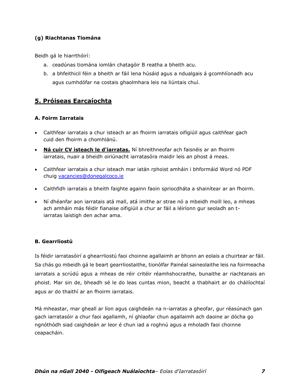# **(g) Riachtanas Tiomána**

Beidh gá le hiarrthóirí:

- a. ceadúnas tiomána iomlán chatagóir B reatha a bheith acu.
- b. a bhfeithicil féin a bheith ar fáil lena húsáid agus a ndualgais á gcomhlíonadh acu agus cumhdófar na costais ghaolmhara leis na liúntais chuí.

# **5. Próiseas Earcaíochta**

## **A. Foirm Iarratais**

- Caithfear iarratais a chur isteach ar an fhoirm iarratais oifigiúil agus caithfear gach cuid den fhoirm a chomhlánú.
- **Ná cuir CV isteach le d'iarratas.** Ní bhreithneofar ach faisnéis ar an fhoirm iarratais, nuair a bheidh oiriúnacht iarratasóra maidir leis an phost á meas.
- Caithfear iarratais a chur isteach mar iatán rphoist amháin i bhformáid Word nó PDF chuig [vacancies@donegalcoco.ie](mailto:vacancies@donegalcoco.ie)
- Caithfidh iarratais a bheith faighte againn faoin spriocdháta a shainítear ar an fhoirm.
- Ní dhéanfar aon iarratais atá mall, atá imithe ar strae nó a mbeidh moill leo, a mheas ach amháin más féidir fianaise oifigiúil a chur ar fáil a léiríonn gur seoladh an tiarratas laistigh den achar ama.

# **B. Gearrliostú**

Is féidir iarratasóirí a ghearrliostú faoi choinne agallaimh ar bhonn an eolais a chuirtear ar fáil. Sa chás go mbeidh gá le beart gearrliostaithe, tionólfar Painéal saineolaithe leis na foirmeacha iarratais a scrúdú agus a mheas de réir critéir réamhshocraithe, bunaithe ar riachtanais an phoist. Mar sin de, bheadh sé le do leas cuntas mion, beacht a thabhairt ar do cháilíochtaí agus ar do thaithí ar an fhoirm iarratais.

Má mheastar, mar gheall ar líon agus caighdeán na n-iarratas a gheofar, gur réasúnach gan gach iarratasóir a chur faoi agallamh, ní ghlaofar chun agallaimh ach daoine ar dócha go ngnóthódh siad caighdeán ar leor é chun iad a roghnú agus a mholadh faoi choinne ceapacháin.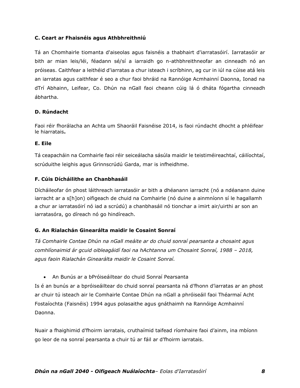## **C. Ceart ar Fhaisnéis agus Athbhreithniú**

Tá an Chomhairle tiomanta d'aiseolas agus faisnéis a thabhairt d'iarratasóirí. Iarratasóir ar bith ar mian leis/léi, féadann sé/sí a iarraidh go n-athbhreithneofar an cinneadh nó an próiseas. Caithfear a leithéid d'iarratas a chur isteach i scríbhinn, ag cur in iúl na cúise atá leis an iarratas agus caithfear é seo a chur faoi bhráid na Rannóige Acmhainní Daonna, Ionad na dTrí Abhainn, Leifear, Co. Dhún na nGall faoi cheann cúig lá ó dháta fógartha cinneadh ábhartha.

#### **D. Rúndacht**

Faoi réir fhorálacha an Achta um Shaoráil Faisnéise 2014, is faoi rúndacht dhocht a phléifear le hiarratais**.**

#### **E. Eile**

Tá ceapacháin na Comhairle faoi réir seiceálacha sásúla maidir le teistiméireachtaí, cáilíochtaí, scrúduithe leighis agus Grinnscrúdú Garda, mar is infheidhme.

## **F. Cúis Dícháilithe an Chanbhasáil**

Dícháileofar ón phost láithreach iarratasóir ar bith a dhéanann iarracht (nó a ndéanann duine iarracht ar a s[h]on) oifigeach de chuid na Comhairle (nó duine a ainmníonn sí le hagallamh a chur ar iarratasóirí nó iad a scrúdú) a chanbhasáil nó tionchar a imirt air/uirthi ar son an iarratasóra, go díreach nó go hindíreach.

# **G. An Rialachán Ginearálta maidir le Cosaint Sonraí**

*Tá Comhairle Contae Dhún na nGall meáite ar do chuid sonraí pearsanta a chosaint agus*  comhlíonaimid ár gcuid oibleagáidí faoi na hAchtanna um Chosaint Sonraí, 1988 - 2018, *agus faoin Rialachán Ginearálta maidir le Cosaint Sonraí.* 

• An Bunús ar a bPróiseáiltear do chuid Sonraí Pearsanta

Is é an bunús ar a bpróiseáiltear do chuid sonraí pearsanta ná d'fhonn d'iarratas ar an phost ar chuir tú isteach air le Comhairle Contae Dhún na nGall a phróiseáil faoi Théarmaí Acht Fostaíochta (Faisnéis) 1994 agus polasaithe agus gnáthaimh na Rannóige Acmhainní Daonna.

Nuair a fhaighimid d'fhoirm iarratais, cruthaímid taifead ríomhaire faoi d'ainm, ina mbíonn go leor de na sonraí pearsanta a chuir tú ar fáil ar d'fhoirm iarratais.